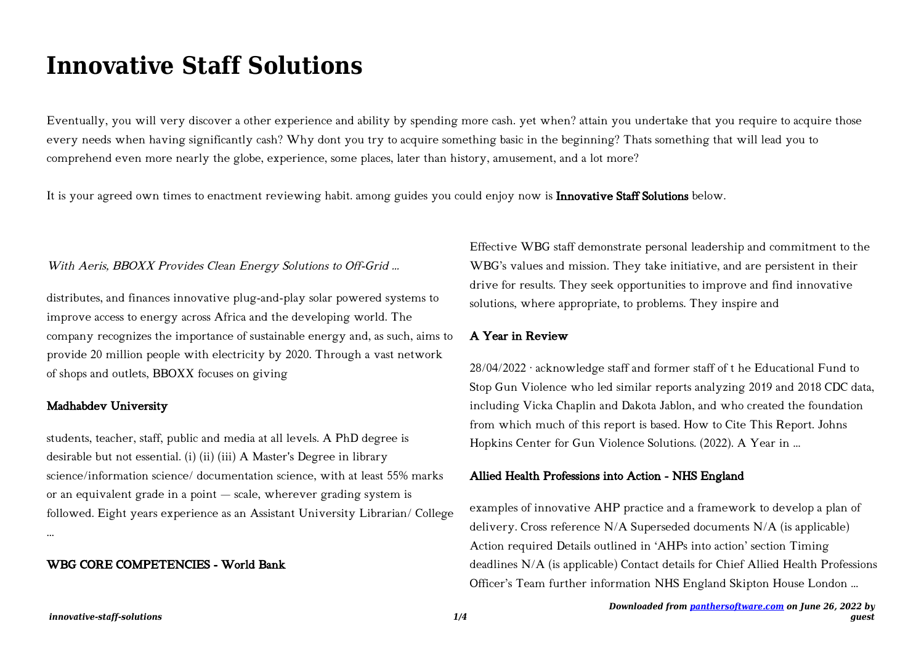# **Innovative Staff Solutions**

Eventually, you will very discover a other experience and ability by spending more cash. yet when? attain you undertake that you require to acquire those every needs when having significantly cash? Why dont you try to acquire something basic in the beginning? Thats something that will lead you to comprehend even more nearly the globe, experience, some places, later than history, amusement, and a lot more?

It is your agreed own times to enactment reviewing habit. among guides you could enjoy now is **Innovative Staff Solutions** below.

#### With Aeris, BBOXX Provides Clean Energy Solutions to Off-Grid ...

distributes, and finances innovative plug-and-play solar powered systems to improve access to energy across Africa and the developing world. The company recognizes the importance of sustainable energy and, as such, aims to provide 20 million people with electricity by 2020. Through a vast network of shops and outlets, BBOXX focuses on giving

#### Madhabdev University

students, teacher, staff, public and media at all levels. A PhD degree is desirable but not essential. (i) (ii) (iii) A Master's Degree in library science/information science/ documentation science, with at least 55% marks or an equivalent grade in a point — scale, wherever grading system is followed. Eight years experience as an Assistant University Librarian/ College …

### WBG CORE COMPETENCIES - World Bank

Effective WBG staff demonstrate personal leadership and commitment to the WBG's values and mission. They take initiative, and are persistent in their drive for results. They seek opportunities to improve and find innovative solutions, where appropriate, to problems. They inspire and

## A Year in Review

28/04/2022 · acknowledge staff and former staff of t he Educational Fund to Stop Gun Violence who led similar reports analyzing 2019 and 2018 CDC data, including Vicka Chaplin and Dakota Jablon, and who created the foundation from which much of this report is based. How to Cite This Report. Johns Hopkins Center for Gun Violence Solutions. (2022). A Year in ...

#### Allied Health Professions into Action - NHS England

examples of innovative AHP practice and a framework to develop a plan of delivery. Cross reference N/A Superseded documents N/A (is applicable) Action required Details outlined in 'AHPs into action' section Timing deadlines N/A (is applicable) Contact details for Chief Allied Health Professions Officer's Team further information NHS England Skipton House London …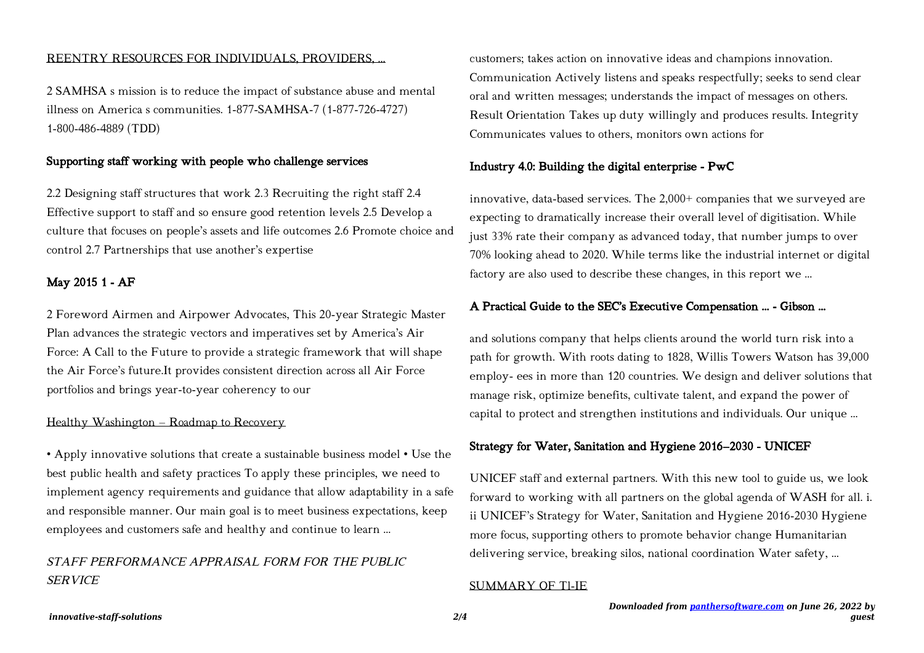#### REENTRY RESOURCES FOR INDIVIDUALS, PROVIDERS, …

2 SAMHSA s mission is to reduce the impact of substance abuse and mental illness on America s communities. 1-877-SAMHSA-7 (1-877-726-4727) 1-800-486-4889 (TDD)

## Supporting staff working with people who challenge services

2.2 Designing staff structures that work 2.3 Recruiting the right staff 2.4 Effective support to staff and so ensure good retention levels 2.5 Develop a culture that focuses on people's assets and life outcomes 2.6 Promote choice and control 2.7 Partnerships that use another's expertise

#### May 2015 1 - AF

2 Foreword Airmen and Airpower Advocates, This 20-year Strategic Master Plan advances the strategic vectors and imperatives set by America's Air Force: A Call to the Future to provide a strategic framework that will shape the Air Force's future.It provides consistent direction across all Air Force portfolios and brings year-to-year coherency to our

#### Healthy Washington – Roadmap to Recovery

• Apply innovative solutions that create a sustainable business model • Use the best public health and safety practices To apply these principles, we need to implement agency requirements and guidance that allow adaptability in a safe and responsible manner. Our main goal is to meet business expectations, keep employees and customers safe and healthy and continue to learn …

# STAFF PERFORMANCE APPRAISAL FORM FOR THE PUBLIC SERVICE

customers; takes action on innovative ideas and champions innovation. Communication Actively listens and speaks respectfully; seeks to send clear oral and written messages; understands the impact of messages on others. Result Orientation Takes up duty willingly and produces results. Integrity Communicates values to others, monitors own actions for

#### Industry 4.0: Building the digital enterprise - PwC

innovative, data-based services. The 2,000+ companies that we surveyed are expecting to dramatically increase their overall level of digitisation. While just 33% rate their company as advanced today, that number jumps to over 70% looking ahead to 2020. While terms like the industrial internet or digital factory are also used to describe these changes, in this report we …

## A Practical Guide to the SEC's Executive Compensation ... - Gibson …

and solutions company that helps clients around the world turn risk into a path for growth. With roots dating to 1828, Willis Towers Watson has 39,000 employ- ees in more than 120 countries. We design and deliver solutions that manage risk, optimize benefits, cultivate talent, and expand the power of capital to protect and strengthen institutions and individuals. Our unique …

#### Strategy for Water, Sanitation and Hygiene 2016–2030 - UNICEF

UNICEF staff and external partners. With this new tool to guide us, we look forward to working with all partners on the global agenda of WASH for all. i. ii UNICEF's Strategy for Water, Sanitation and Hygiene 2016-2030 Hygiene more focus, supporting others to promote behavior change Humanitarian delivering service, breaking silos, national coordination Water safety, …

#### SUMMARY OF Tl-IE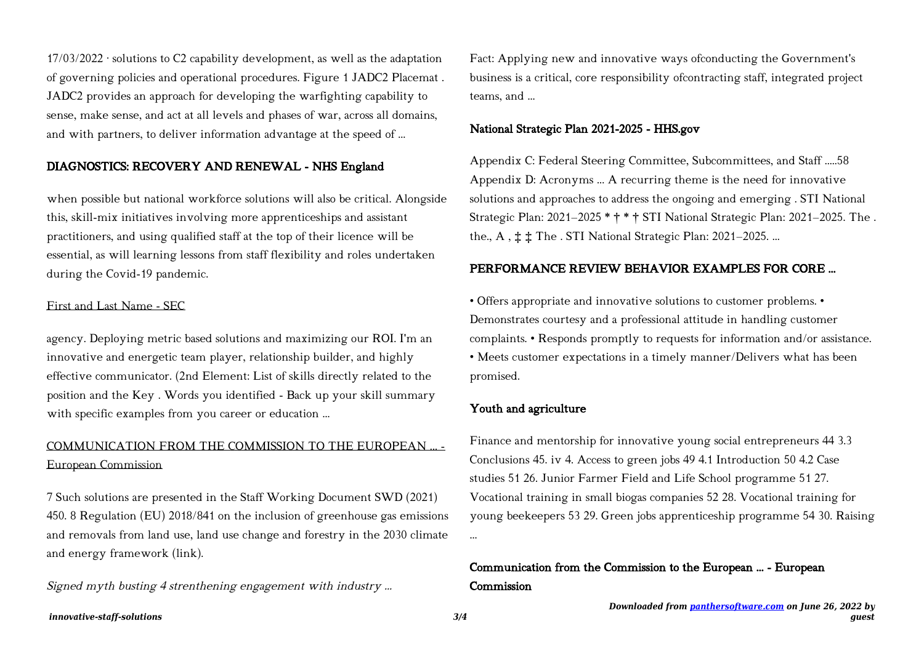$17/03/2022$  · solutions to C2 capability development, as well as the adaptation of governing policies and operational procedures. Figure 1 JADC2 Placemat . JADC2 provides an approach for developing the warfighting capability to sense, make sense, and act at all levels and phases of war, across all domains, and with partners, to deliver information advantage at the speed of …

## DIAGNOSTICS: RECOVERY AND RENEWAL - NHS England

when possible but national workforce solutions will also be critical. Alongside this, skill-mix initiatives involving more apprenticeships and assistant practitioners, and using qualified staff at the top of their licence will be essential, as will learning lessons from staff flexibility and roles undertaken during the Covid-19 pandemic.

#### First and Last Name - SEC

agency. Deploying metric based solutions and maximizing our ROI. I'm an innovative and energetic team player, relationship builder, and highly effective communicator. (2nd Element: List of skills directly related to the position and the Key . Words you identified - Back up your skill summary with specific examples from you career or education ...

# COMMUNICATION FROM THE COMMISSION TO THE EUROPEAN ... - European Commission

7 Such solutions are presented in the Staff Working Document SWD (2021) 450. 8 Regulation (EU) 2018/841 on the inclusion of greenhouse gas emissions and removals from land use, land use change and forestry in the 2030 climate and energy framework (link).

Signed myth busting 4 strenthening engagement with industry …

Fact: Applying new and innovative ways ofconducting the Government's business is a critical, core responsibility ofcontracting staff, integrated project teams, and …

## National Strategic Plan 2021-2025 - HHS.gov

Appendix C: Federal Steering Committee, Subcommittees, and Staff .....58 Appendix D: Acronyms ... A recurring theme is the need for innovative solutions and approaches to address the ongoing and emerging . STI National Strategic Plan: 2021–2025 \* † \* † STI National Strategic Plan: 2021–2025. The . the., A , ‡ ‡ The . STI National Strategic Plan: 2021–2025. …

## PERFORMANCE REVIEW BEHAVIOR EXAMPLES FOR CORE …

• Offers appropriate and innovative solutions to customer problems. • Demonstrates courtesy and a professional attitude in handling customer complaints. • Responds promptly to requests for information and/or assistance. • Meets customer expectations in a timely manner/Delivers what has been promised.

#### Youth and agriculture

Finance and mentorship for innovative young social entrepreneurs 44 3.3 Conclusions 45. iv 4. Access to green jobs 49 4.1 Introduction 50 4.2 Case studies 51 26. Junior Farmer Field and Life School programme 51 27. Vocational training in small biogas companies 52 28. Vocational training for young beekeepers 53 29. Green jobs apprenticeship programme 54 30. Raising …

# Communication from the Commission to the European ... - European Commission